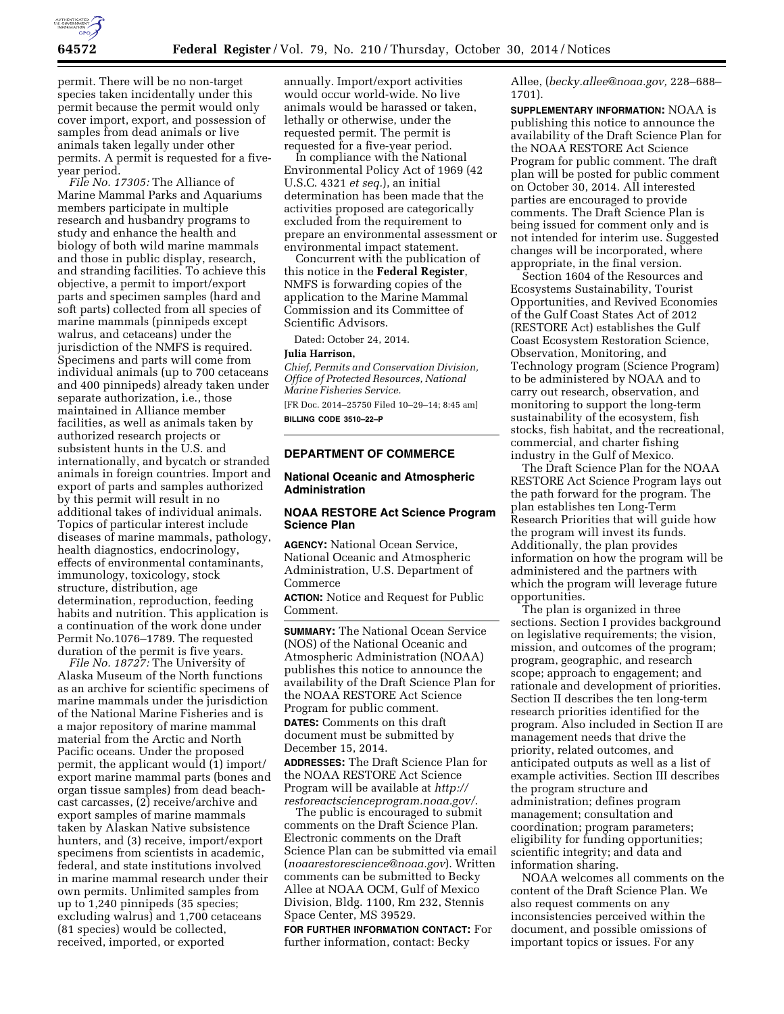

permit. There will be no non-target species taken incidentally under this permit because the permit would only cover import, export, and possession of samples from dead animals or live animals taken legally under other permits. A permit is requested for a fiveyear period.

*File No. 17305:* The Alliance of Marine Mammal Parks and Aquariums members participate in multiple research and husbandry programs to study and enhance the health and biology of both wild marine mammals and those in public display, research, and stranding facilities. To achieve this objective, a permit to import/export parts and specimen samples (hard and soft parts) collected from all species of marine mammals (pinnipeds except walrus, and cetaceans) under the jurisdiction of the NMFS is required. Specimens and parts will come from individual animals (up to 700 cetaceans and 400 pinnipeds) already taken under separate authorization, i.e., those maintained in Alliance member facilities, as well as animals taken by authorized research projects or subsistent hunts in the U.S. and internationally, and bycatch or stranded animals in foreign countries. Import and export of parts and samples authorized by this permit will result in no additional takes of individual animals. Topics of particular interest include diseases of marine mammals, pathology, health diagnostics, endocrinology, effects of environmental contaminants, immunology, toxicology, stock structure, distribution, age determination, reproduction, feeding habits and nutrition. This application is a continuation of the work done under Permit No.1076–1789. The requested duration of the permit is five years.

*File No. 18727:* The University of Alaska Museum of the North functions as an archive for scientific specimens of marine mammals under the jurisdiction of the National Marine Fisheries and is a major repository of marine mammal material from the Arctic and North Pacific oceans. Under the proposed permit, the applicant would (1) import/ export marine mammal parts (bones and organ tissue samples) from dead beachcast carcasses, (2) receive/archive and export samples of marine mammals taken by Alaskan Native subsistence hunters, and (3) receive, import/export specimens from scientists in academic, federal, and state institutions involved in marine mammal research under their own permits. Unlimited samples from up to 1,240 pinnipeds (35 species; excluding walrus) and 1,700 cetaceans (81 species) would be collected, received, imported, or exported

annually. Import/export activities would occur world-wide. No live animals would be harassed or taken, lethally or otherwise, under the requested permit. The permit is requested for a five-year period.

In compliance with the National Environmental Policy Act of 1969 (42 U.S.C. 4321 *et seq.*), an initial determination has been made that the activities proposed are categorically excluded from the requirement to prepare an environmental assessment or environmental impact statement.

Concurrent with the publication of this notice in the **Federal Register**, NMFS is forwarding copies of the application to the Marine Mammal Commission and its Committee of Scientific Advisors.

Dated: October 24, 2014.

### **Julia Harrison,**

*Chief, Permits and Conservation Division, Office of Protected Resources, National Marine Fisheries Service.* 

[FR Doc. 2014–25750 Filed 10–29–14; 8:45 am] **BILLING CODE 3510–22–P** 

# **DEPARTMENT OF COMMERCE**

### **National Oceanic and Atmospheric Administration**

# **NOAA RESTORE Act Science Program Science Plan**

**AGENCY:** National Ocean Service, National Oceanic and Atmospheric Administration, U.S. Department of Commerce

**ACTION:** Notice and Request for Public Comment.

**SUMMARY:** The National Ocean Service (NOS) of the National Oceanic and Atmospheric Administration (NOAA) publishes this notice to announce the availability of the Draft Science Plan for the NOAA RESTORE Act Science Program for public comment. **DATES:** Comments on this draft document must be submitted by December 15, 2014.

**ADDRESSES:** The Draft Science Plan for the NOAA RESTORE Act Science Program will be available at *[http://](http://restoreactscienceprogram.noaa.gov/) [restoreactscienceprogram.noaa.gov/](http://restoreactscienceprogram.noaa.gov/)*.

The public is encouraged to submit comments on the Draft Science Plan. Electronic comments on the Draft Science Plan can be submitted via email (*[noaarestorescience@noaa.gov](mailto:noaarestorescience@noaa.gov)*). Written comments can be submitted to Becky Allee at NOAA OCM, Gulf of Mexico Division, Bldg. 1100, Rm 232, Stennis Space Center, MS 39529.

**FOR FURTHER INFORMATION CONTACT:** For further information, contact: Becky

Allee, (*[becky.allee@noaa.gov,](mailto:becky.allee@noaa.gov)* 228–688– 1701).

**SUPPLEMENTARY INFORMATION:** NOAA is publishing this notice to announce the availability of the Draft Science Plan for the NOAA RESTORE Act Science Program for public comment. The draft plan will be posted for public comment on October 30, 2014. All interested parties are encouraged to provide comments. The Draft Science Plan is being issued for comment only and is not intended for interim use. Suggested changes will be incorporated, where appropriate, in the final version.

Section 1604 of the Resources and Ecosystems Sustainability, Tourist Opportunities, and Revived Economies of the Gulf Coast States Act of 2012 (RESTORE Act) establishes the Gulf Coast Ecosystem Restoration Science, Observation, Monitoring, and Technology program (Science Program) to be administered by NOAA and to carry out research, observation, and monitoring to support the long-term sustainability of the ecosystem, fish stocks, fish habitat, and the recreational, commercial, and charter fishing industry in the Gulf of Mexico.

The Draft Science Plan for the NOAA RESTORE Act Science Program lays out the path forward for the program. The plan establishes ten Long-Term Research Priorities that will guide how the program will invest its funds. Additionally, the plan provides information on how the program will be administered and the partners with which the program will leverage future opportunities.

The plan is organized in three sections. Section I provides background on legislative requirements; the vision, mission, and outcomes of the program; program, geographic, and research scope; approach to engagement; and rationale and development of priorities. Section II describes the ten long-term research priorities identified for the program. Also included in Section II are management needs that drive the priority, related outcomes, and anticipated outputs as well as a list of example activities. Section III describes the program structure and administration; defines program management; consultation and coordination; program parameters; eligibility for funding opportunities; scientific integrity; and data and information sharing.

NOAA welcomes all comments on the content of the Draft Science Plan. We also request comments on any inconsistencies perceived within the document, and possible omissions of important topics or issues. For any